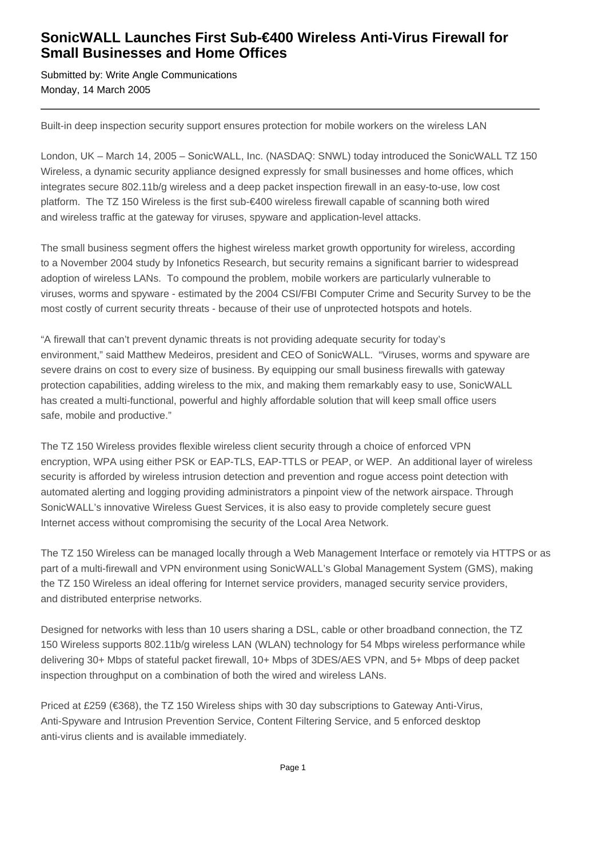## **SonicWALL Launches First Sub-€400 Wireless Anti-Virus Firewall for Small Businesses and Home Offices**

Submitted by: Write Angle Communications Monday, 14 March 2005

Built-in deep inspection security support ensures protection for mobile workers on the wireless LAN

London, UK – March 14, 2005 – SonicWALL, Inc. (NASDAQ: SNWL) today introduced the SonicWALL TZ 150 Wireless, a dynamic security appliance designed expressly for small businesses and home offices, which integrates secure 802.11b/g wireless and a deep packet inspection firewall in an easy-to-use, low cost platform. The TZ 150 Wireless is the first sub-€400 wireless firewall capable of scanning both wired and wireless traffic at the gateway for viruses, spyware and application-level attacks.

The small business segment offers the highest wireless market growth opportunity for wireless, according to a November 2004 study by Infonetics Research, but security remains a significant barrier to widespread adoption of wireless LANs. To compound the problem, mobile workers are particularly vulnerable to viruses, worms and spyware - estimated by the 2004 CSI/FBI Computer Crime and Security Survey to be the most costly of current security threats - because of their use of unprotected hotspots and hotels.

"A firewall that can't prevent dynamic threats is not providing adequate security for today's environment," said Matthew Medeiros, president and CEO of SonicWALL. "Viruses, worms and spyware are severe drains on cost to every size of business. By equipping our small business firewalls with gateway protection capabilities, adding wireless to the mix, and making them remarkably easy to use, SonicWALL has created a multi-functional, powerful and highly affordable solution that will keep small office users safe, mobile and productive."

The TZ 150 Wireless provides flexible wireless client security through a choice of enforced VPN encryption, WPA using either PSK or EAP-TLS, EAP-TTLS or PEAP, or WEP. An additional layer of wireless security is afforded by wireless intrusion detection and prevention and rogue access point detection with automated alerting and logging providing administrators a pinpoint view of the network airspace. Through SonicWALL's innovative Wireless Guest Services, it is also easy to provide completely secure guest Internet access without compromising the security of the Local Area Network.

The TZ 150 Wireless can be managed locally through a Web Management Interface or remotely via HTTPS or as part of a multi-firewall and VPN environment using SonicWALL's Global Management System (GMS), making the TZ 150 Wireless an ideal offering for Internet service providers, managed security service providers, and distributed enterprise networks.

Designed for networks with less than 10 users sharing a DSL, cable or other broadband connection, the TZ 150 Wireless supports 802.11b/g wireless LAN (WLAN) technology for 54 Mbps wireless performance while delivering 30+ Mbps of stateful packet firewall, 10+ Mbps of 3DES/AES VPN, and 5+ Mbps of deep packet inspection throughput on a combination of both the wired and wireless LANs.

Priced at £259 (€368), the TZ 150 Wireless ships with 30 day subscriptions to Gateway Anti-Virus, Anti-Spyware and Intrusion Prevention Service, Content Filtering Service, and 5 enforced desktop anti-virus clients and is available immediately.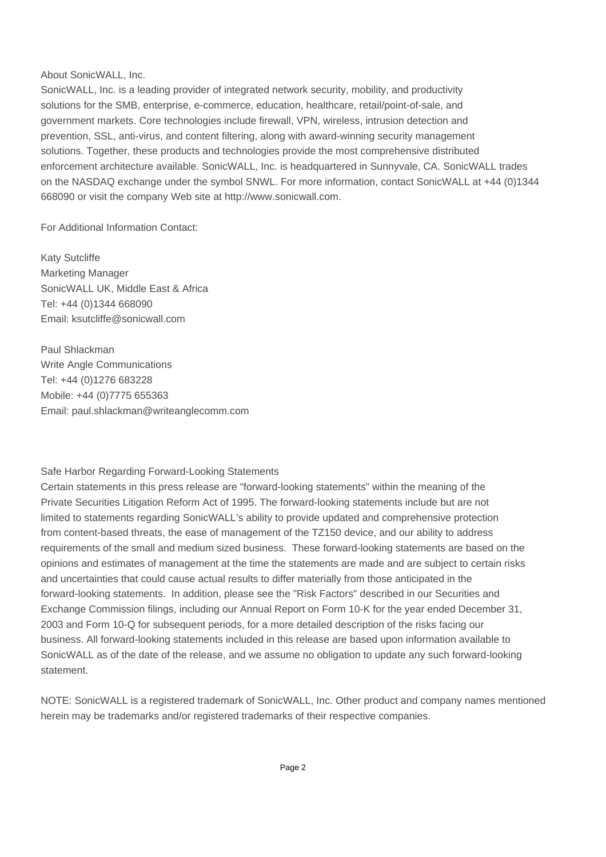## About SonicWALL, Inc.

SonicWALL, Inc. is a leading provider of integrated network security, mobility, and productivity solutions for the SMB, enterprise, e-commerce, education, healthcare, retail/point-of-sale, and government markets. Core technologies include firewall, VPN, wireless, intrusion detection and prevention, SSL, anti-virus, and content filtering, along with award-winning security management solutions. Together, these products and technologies provide the most comprehensive distributed enforcement architecture available. SonicWALL, Inc. is headquartered in Sunnyvale, CA. SonicWALL trades on the NASDAQ exchange under the symbol SNWL. For more information, contact SonicWALL at +44 (0)1344 668090 or visit the company Web site at http://www.sonicwall.com.

For Additional Information Contact:

Katy Sutcliffe Marketing Manager SonicWALL UK, Middle East & Africa Tel: +44 (0)1344 668090 Email: ksutcliffe@sonicwall.com

Paul Shlackman Write Angle Communications Tel: +44 (0)1276 683228 Mobile: +44 (0)7775 655363 Email: paul.shlackman@writeanglecomm.com

## Safe Harbor Regarding Forward-Looking Statements

Certain statements in this press release are "forward-looking statements" within the meaning of the Private Securities Litigation Reform Act of 1995. The forward-looking statements include but are not limited to statements regarding SonicWALL's ability to provide updated and comprehensive protection from content-based threats, the ease of management of the TZ150 device, and our ability to address requirements of the small and medium sized business. These forward-looking statements are based on the opinions and estimates of management at the time the statements are made and are subject to certain risks and uncertainties that could cause actual results to differ materially from those anticipated in the forward-looking statements. In addition, please see the "Risk Factors" described in our Securities and Exchange Commission filings, including our Annual Report on Form 10-K for the year ended December 31, 2003 and Form 10-Q for subsequent periods, for a more detailed description of the risks facing our business. All forward-looking statements included in this release are based upon information available to SonicWALL as of the date of the release, and we assume no obligation to update any such forward-looking statement.

NOTE: SonicWALL is a registered trademark of SonicWALL, Inc. Other product and company names mentioned herein may be trademarks and/or registered trademarks of their respective companies.